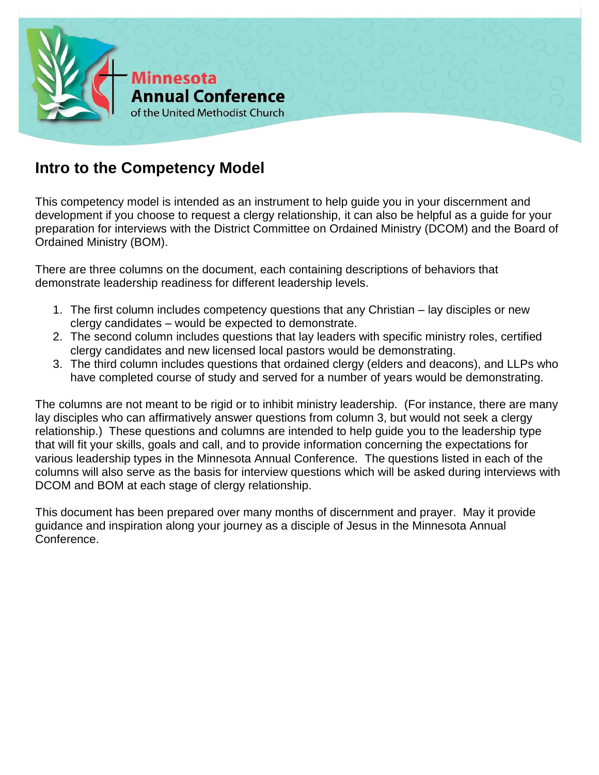

## **Intro to the Competency Model**

This competency model is intended as an instrument to help guide you in your discernment and development if you choose to request a clergy relationship, it can also be helpful as a guide for your preparation for interviews with the District Committee on Ordained Ministry (DCOM) and the Board of Ordained Ministry (BOM).

There are three columns on the document, each containing descriptions of behaviors that demonstrate leadership readiness for different leadership levels.

- 1. The first column includes competency questions that any Christian lay disciples or new clergy candidates – would be expected to demonstrate.
- 2. The second column includes questions that lay leaders with specific ministry roles, certified clergy candidates and new licensed local pastors would be demonstrating.
- 3. The third column includes questions that ordained clergy (elders and deacons), and LLPs who have completed course of study and served for a number of years would be demonstrating.

The columns are not meant to be rigid or to inhibit ministry leadership. (For instance, there are many lay disciples who can affirmatively answer questions from column 3, but would not seek a clergy relationship.) These questions and columns are intended to help guide you to the leadership type that will fit your skills, goals and call, and to provide information concerning the expectations for various leadership types in the Minnesota Annual Conference. The questions listed in each of the columns will also serve as the basis for interview questions which will be asked during interviews with DCOM and BOM at each stage of clergy relationship.

This document has been prepared over many months of discernment and prayer. May it provide guidance and inspiration along your journey as a disciple of Jesus in the Minnesota Annual Conference.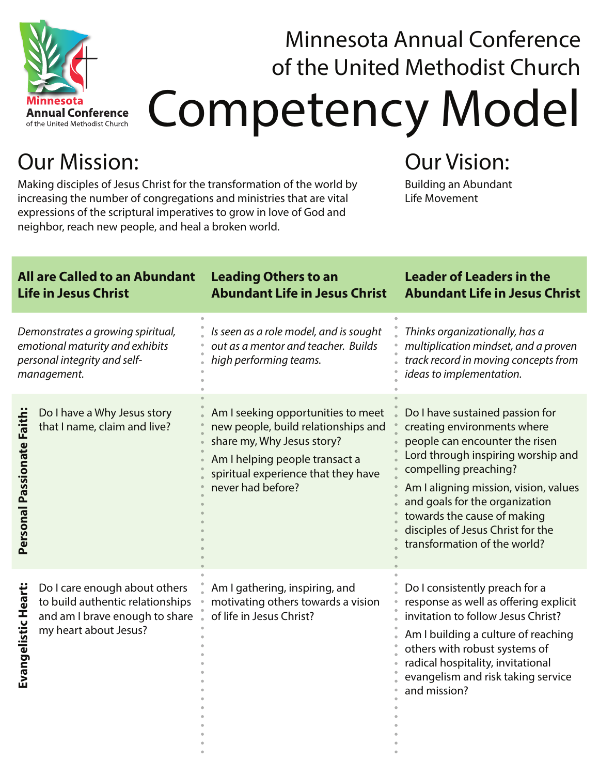

## Competency Model Minnesota Annual Conference of the United Methodist Church

## Our Mission:

Making disciples of Jesus Christ for the transformation of the world by increasing the number of congregations and ministries that are vital expressions of the scriptural imperatives to grow in love of God and neighbor, reach new people, and heal a broken world.

## Our Vision:

Building an Abundant Life Movement

| <b>All are Called to an Abundant</b><br><b>Life in Jesus Christ</b>                                                 |                                                                                                                              | <b>Leading Others to an</b><br><b>Abundant Life in Jesus Christ</b>                                                                                                                                   | <b>Leader of Leaders in the</b><br><b>Abundant Life in Jesus Christ</b>                                                                                                                                                                                                                                                                        |
|---------------------------------------------------------------------------------------------------------------------|------------------------------------------------------------------------------------------------------------------------------|-------------------------------------------------------------------------------------------------------------------------------------------------------------------------------------------------------|------------------------------------------------------------------------------------------------------------------------------------------------------------------------------------------------------------------------------------------------------------------------------------------------------------------------------------------------|
| Demonstrates a growing spiritual,<br>emotional maturity and exhibits<br>personal integrity and self-<br>management. |                                                                                                                              | Is seen as a role model, and is sought<br>out as a mentor and teacher. Builds<br>high performing teams.                                                                                               | Thinks organizationally, has a<br>multiplication mindset, and a proven<br>track record in moving concepts from<br>ideas to implementation.                                                                                                                                                                                                     |
| Personal Passionate Faith                                                                                           | Do I have a Why Jesus story<br>that I name, claim and live?                                                                  | Am I seeking opportunities to meet<br>new people, build relationships and<br>share my, Why Jesus story?<br>Am I helping people transact a<br>spiritual experience that they have<br>never had before? | Do I have sustained passion for<br>creating environments where<br>people can encounter the risen<br>Lord through inspiring worship and<br>compelling preaching?<br>Am I aligning mission, vision, values<br>and goals for the organization<br>towards the cause of making<br>disciples of Jesus Christ for the<br>transformation of the world? |
| Evangelistic Heart:                                                                                                 | Do I care enough about others<br>to build authentic relationships<br>and am I brave enough to share<br>my heart about Jesus? | Am I gathering, inspiring, and<br>motivating others towards a vision<br>of life in Jesus Christ?                                                                                                      | Do I consistently preach for a<br>response as well as offering explicit<br>invitation to follow Jesus Christ?<br>Am I building a culture of reaching<br>others with robust systems of<br>radical hospitality, invitational<br>evangelism and risk taking service<br>and mission?                                                               |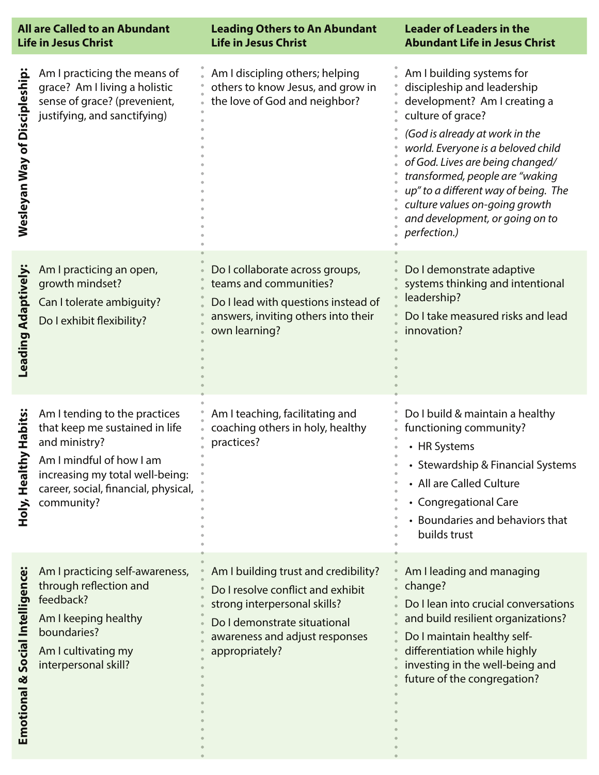| <b>All are Called to an Abundant</b><br><b>Life in Jesus Christ</b> |                                                                                                                                                                                                       | <b>Leading Others to An Abundant</b><br><b>Life in Jesus Christ</b>                                                                                                                           | <b>Leader of Leaders in the</b><br><b>Abundant Life in Jesus Christ</b>                                                                                                                                                                                                                                                                                                                   |
|---------------------------------------------------------------------|-------------------------------------------------------------------------------------------------------------------------------------------------------------------------------------------------------|-----------------------------------------------------------------------------------------------------------------------------------------------------------------------------------------------|-------------------------------------------------------------------------------------------------------------------------------------------------------------------------------------------------------------------------------------------------------------------------------------------------------------------------------------------------------------------------------------------|
| <b>Wesleyan Way of Discipleship</b>                                 | Am I practicing the means of<br>grace? Am I living a holistic<br>sense of grace? (prevenient,<br>justifying, and sanctifying)                                                                         | Am I discipling others; helping<br>others to know Jesus, and grow in<br>the love of God and neighbor?                                                                                         | Am I building systems for<br>discipleship and leadership<br>development? Am I creating a<br>culture of grace?<br>(God is already at work in the<br>world. Everyone is a beloved child<br>of God. Lives are being changed/<br>transformed, people are "waking<br>up" to a different way of being. The<br>culture values on-going growth<br>and development, or going on to<br>perfection.) |
| Leading Adaptively                                                  | Am I practicing an open,<br>growth mindset?<br>Can I tolerate ambiguity?<br>Do I exhibit flexibility?                                                                                                 | Do I collaborate across groups,<br>teams and communities?<br>Do I lead with questions instead of<br>answers, inviting others into their<br>own learning?                                      | Do I demonstrate adaptive<br>systems thinking and intentional<br>leadership?<br>Do I take measured risks and lead<br>innovation?                                                                                                                                                                                                                                                          |
| <b>Habits:</b><br>Healthy<br>Holy,                                  | Am I tending to the practices<br>that keep me sustained in life<br>and ministry?<br>Am I mindful of how I am<br>increasing my total well-being:<br>career, social, financial, physical,<br>community? | Am I teaching, facilitating and<br>coaching others in holy, healthy<br>practices?                                                                                                             | Do I build & maintain a healthy<br>functioning community?<br>• HR Systems<br>• Stewardship & Financial Systems<br>• All are Called Culture<br>• Congregational Care<br>• Boundaries and behaviors that<br>builds trust                                                                                                                                                                    |
| Social Intelligence:<br>Emotional &                                 | Am I practicing self-awareness,<br>through reflection and<br>feedback?<br>Am I keeping healthy<br>boundaries?<br>Am I cultivating my<br>interpersonal skill?                                          | Am I building trust and credibility?<br>Do I resolve conflict and exhibit<br>strong interpersonal skills?<br>Do I demonstrate situational<br>awareness and adjust responses<br>appropriately? | Am I leading and managing<br>change?<br>Do I lean into crucial conversations<br>and build resilient organizations?<br>Do I maintain healthy self-<br>differentiation while highly<br>investing in the well-being and<br>future of the congregation?                                                                                                                                       |